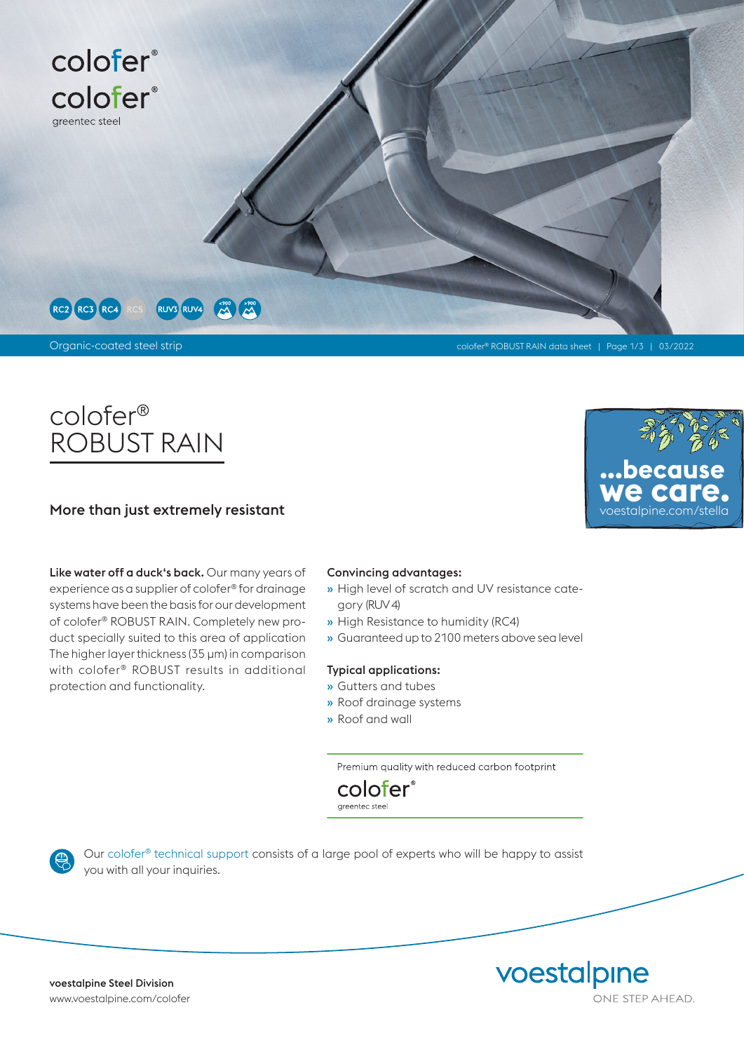

#### Organic-coated steel strip content of the colorer® ROBUST RAIN data sheet | Page 1/3 | 03/2022

### colofer® ROBUST RAIN

#### More than just extremely resistant

Like water off a duck's back. Our many years of experience as a supplier of colofer® for drainage systems have been the basis for our development of colofer® ROBUST RAIN. Completely new product specially suited to this area of application The higher layer thickness (35 µm) in comparison with colofer® ROBUST results in additional protection and functionality.



#### Convincing advantages:

- » High level of scratch and UV resistance category (RUV 4)
- » High Resistance to humidity (RC4)
- » Guaranteed up to 2100 meters above sea level

#### Typical applications:

- » Gutters and tubes
- » Roof drainage systems
- » Roof and wall

Premium quality with reduced carbon footprint



Our colofer® technical support consists of a large pool of experts who will be happy to assist you with all your inquiries.

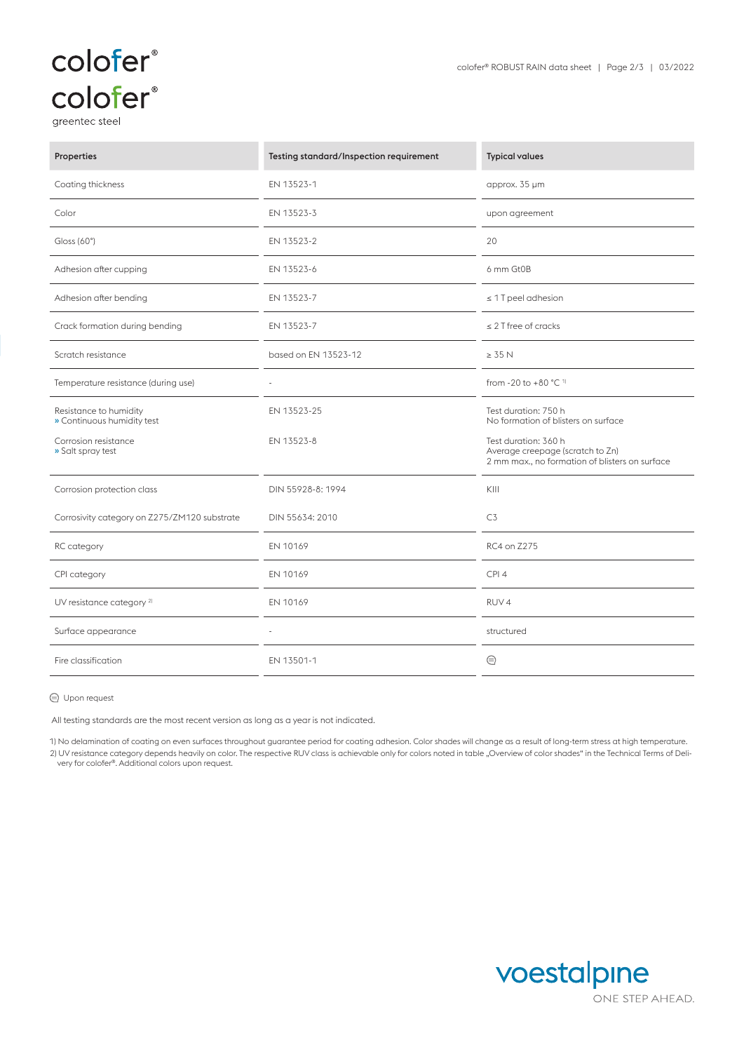# colofer® colofer®

greentec steel

| Properties                                           | Testing standard/Inspection requirement | <b>Typical values</b>                                                                                      |  |  |  |
|------------------------------------------------------|-----------------------------------------|------------------------------------------------------------------------------------------------------------|--|--|--|
| Coating thickness                                    | EN 13523-1                              | approx. 35 µm                                                                                              |  |  |  |
| Color                                                | EN 13523-3                              | upon agreement                                                                                             |  |  |  |
| Gloss (60°)                                          | EN 13523-2                              | 20                                                                                                         |  |  |  |
| Adhesion after cupping                               | EN 13523-6                              | 6 mm Gt0B                                                                                                  |  |  |  |
| Adhesion after bending                               | EN 13523-7                              | $\leq$ 1 T peel adhesion                                                                                   |  |  |  |
| Crack formation during bending                       | EN 13523-7                              | $\leq$ 2 T free of cracks                                                                                  |  |  |  |
| Scratch resistance                                   | based on EN 13523-12                    | $\geq$ 35 N                                                                                                |  |  |  |
| Temperature resistance (during use)                  |                                         | from -20 to +80 °C <sup>1)</sup>                                                                           |  |  |  |
| Resistance to humidity<br>» Continuous humidity test | EN 13523-25                             | Test duration: 750 h<br>No formation of blisters on surface                                                |  |  |  |
| Corrosion resistance<br>» Salt spray test            | EN 13523-8                              | Test duration: 360 h<br>Average creepage (scratch to Zn)<br>2 mm max., no formation of blisters on surface |  |  |  |
| Corrosion protection class                           | DIN 55928-8: 1994                       | KIII                                                                                                       |  |  |  |
| Corrosivity category on Z275/ZM120 substrate         | DIN 55634: 2010                         | C <sub>3</sub>                                                                                             |  |  |  |
| RC category                                          | EN 10169                                | RC4 on Z275                                                                                                |  |  |  |
| CPI category                                         | EN 10169                                | CPI <sub>4</sub>                                                                                           |  |  |  |
| UV resistance category <sup>2)</sup>                 | EN 10169                                | RUV <sub>4</sub>                                                                                           |  |  |  |
| Surface appearance                                   |                                         | structured                                                                                                 |  |  |  |
| Fire classification                                  | EN 13501-1                              | ⊜                                                                                                          |  |  |  |

Upon request

All testing standards are the most recent version as long as a year is not indicated.

1) No delamination of coating on even surfaces throughout guarantee period for coating adhesion. Color shades will change as a result of long-term stress at high temperature. 2) UV resistance category depends heavily on color. The respective RUV class is achievable only for colors noted in table "Overview of color shades" in the Technical Terms of Delivery for colofer®. Additional colors upon request.